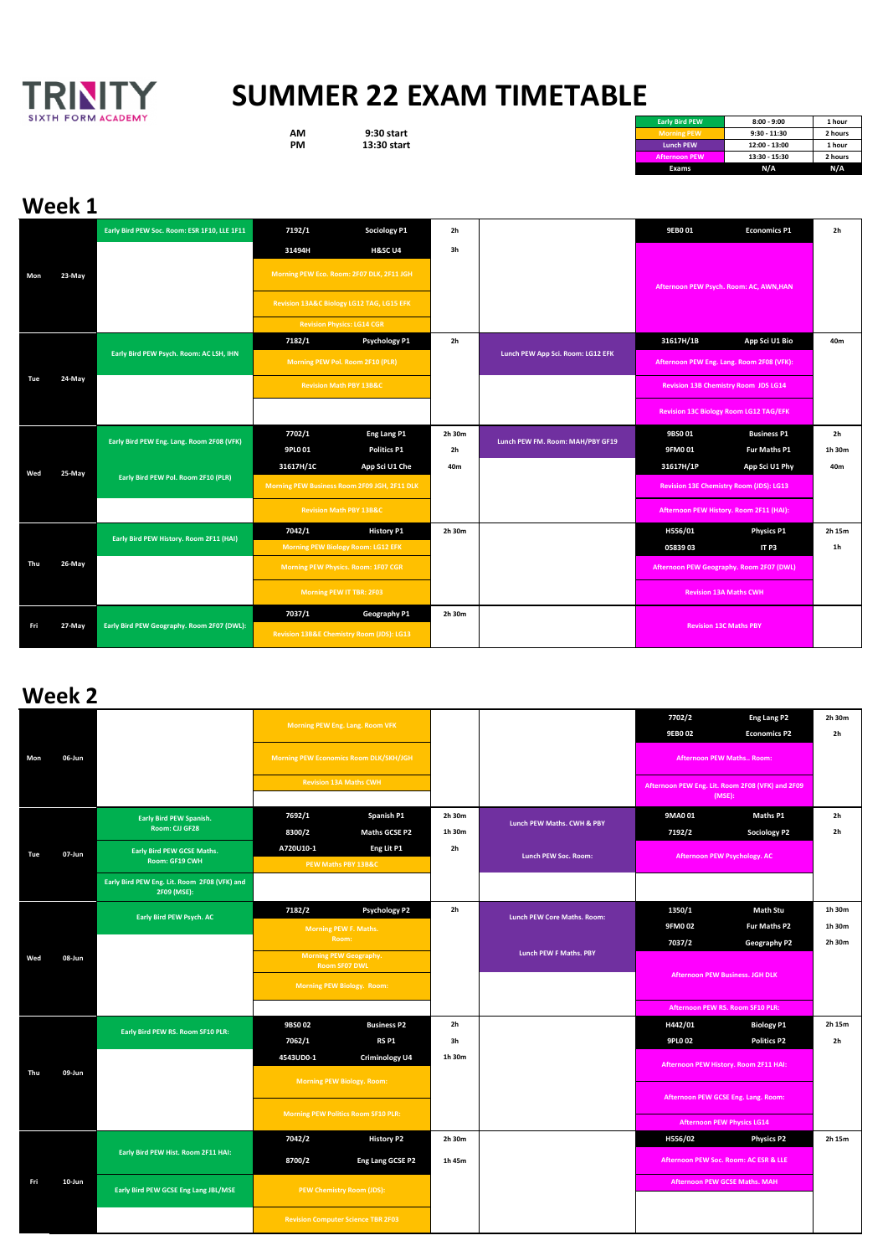|     |        | Early Bird PEW Soc. Room: ESR 1F10, LLE 1F11 | 7192/1                                       | <b>Sociology P1</b>                       | 2h             |                                             | 9EB0 01                                  | <b>Economics P1</b>                       | 2 <sub>h</sub> |
|-----|--------|----------------------------------------------|----------------------------------------------|-------------------------------------------|----------------|---------------------------------------------|------------------------------------------|-------------------------------------------|----------------|
| Mon |        |                                              | 31494H                                       | <b>H&amp;SC U4</b>                        | 3h             |                                             |                                          |                                           |                |
|     | 23-May |                                              |                                              | Morning PEW Eco. Room: 2F07 DLK, 2F11 JGH |                |                                             |                                          | Afternoon PEW Psych. Room: AC, AWN, HAN   |                |
|     |        |                                              | Revision 13A&C Biology LG12 TAG, LG15 EFK    |                                           |                |                                             |                                          |                                           |                |
|     |        |                                              |                                              | <b>Revision Physics: LG14 CGR</b>         |                |                                             |                                          |                                           |                |
| Tue |        | Early Bird PEW Psych. Room: AC LSH, IHN      | 7182/1                                       | <b>Psychology P1</b>                      | 2 <sub>h</sub> |                                             | 31617H/1B                                | App Sci U1 Bio                            | 40m            |
|     |        |                                              |                                              | Morning PEW Pol. Room 2F10 (PLR)          |                | Lunch PEW App Sci. Room: LG12 EFK           |                                          | Afternoon PEW Eng. Lang. Room 2F08 (VFK): |                |
|     | 24-May |                                              | <b>Revision Math PBY 13B&amp;C</b>           |                                           |                | <b>Revision 13B Chemistry Room JDS LG14</b> |                                          |                                           |                |
|     |        |                                              |                                              |                                           |                |                                             |                                          | Revision 13C Biology Room LG12 TAG/EFK    |                |
|     | 25-May | Early Bird PEW Eng. Lang. Room 2F08 (VFK)    | 7702/1                                       | Eng Lang P1                               | 2h 30m         | Lunch PEW FM. Room: MAH/PBY GF19            | 9BS001                                   | <b>Business P1</b>                        | 2 <sub>h</sub> |
|     |        |                                              | 9PL0 01                                      | <b>Politics P1</b>                        | 2h             |                                             | 9FM0 01                                  | Fur Maths P1                              | 1h 30m         |
| Wed |        | Early Bird PEW Pol. Room 2F10 (PLR)          | 31617H/1C                                    | App Sci U1 Che                            | 40m            |                                             | 31617H/1P                                | App Sci U1 Phy                            | 40m            |
|     |        |                                              | Morning PEW Business Room 2F09 JGH, 2F11 DLK |                                           |                |                                             |                                          | Revision 13E Chemistry Room (JDS): LG13   |                |
|     |        |                                              | <b>Revision Math PBY 13B&amp;C</b>           |                                           |                |                                             |                                          | Afternoon PEW History. Room 2F11 (HAI):   |                |
|     |        | Early Bird PEW History. Room 2F11 (HAI)      | 7042/1                                       | <b>History P1</b>                         | 2h 30m         |                                             | H556/01                                  | <b>Physics P1</b>                         | 2h 15m         |
|     |        |                                              |                                              | Morning PEW Biology Room: LG12 EFK        |                |                                             | 0583903                                  | IT P3                                     | 1 <sub>h</sub> |
| Thu | 26-May |                                              | Morning PEW Physics. Room: 1F07 CGR          |                                           |                |                                             | Afternoon PEW Geography. Room 2F07 (DWL) |                                           |                |
|     |        |                                              |                                              | Morning PEW IT TBR: 2F03                  |                |                                             |                                          | <b>Revision 13A Maths CWH</b>             |                |
|     |        |                                              | 7037/1                                       | Geography P1                              | 2h 30m         |                                             |                                          |                                           |                |
| Fri | 27-May | Early Bird PEW Geography. Room 2F07 (DWL):   |                                              | Revision 13B&E Chemistry Room (JDS): LG13 |                |                                             |                                          | <b>Revision 13C Maths PBY</b>             |                |

|     | 06-Jun |                                                             | Morning PEW Eng. Lang. Room VFK                                |                                            |                |                             | 7702/2                                 | <b>Eng Lang P2</b>                                         | 2h 30m         |
|-----|--------|-------------------------------------------------------------|----------------------------------------------------------------|--------------------------------------------|----------------|-----------------------------|----------------------------------------|------------------------------------------------------------|----------------|
|     |        |                                                             |                                                                |                                            |                |                             | <b>9EBO 02</b>                         | <b>Economics P2</b>                                        | 2 <sub>h</sub> |
| Mon |        |                                                             | <b>Morning PEW Economics Room DLK/SKH/JGH</b>                  |                                            |                |                             | <b>Afternoon PEW Maths Room:</b>       |                                                            |                |
|     |        |                                                             |                                                                | <b>Revision 13A Maths CWH</b>              |                |                             |                                        | Afternoon PEW Eng. Lit. Room 2F08 (VFK) and 2F09<br>(MSE): |                |
|     |        | <b>Early Bird PEW Spanish.</b>                              | 7692/1                                                         | Spanish P1                                 | 2h 30m         |                             | 9MA0 01                                | <b>Maths P1</b>                                            | 2 <sub>h</sub> |
|     |        | Room: CJJ GF28                                              | 8300/2                                                         | <b>Maths GCSE P2</b>                       | 1h 30m         | Lunch PEW Maths. CWH & PBY  | 7192/2                                 | <b>Sociology P2</b>                                        | 2 <sub>h</sub> |
| Tue | 07-Jun | <b>Early Bird PEW GCSE Maths.</b>                           | A720U10-1                                                      | Eng Lit P1                                 | 2h             | Lunch PEW Soc. Room:        |                                        | Afternoon PEW Psychology. AC                               |                |
|     |        | Room: GF19 CWH                                              |                                                                | PEW Maths PBY 13B&C                        |                |                             |                                        |                                                            |                |
|     |        | Early Bird PEW Eng. Lit. Room 2F08 (VFK) and<br>2F09 (MSE): |                                                                |                                            |                |                             |                                        |                                                            |                |
|     | 08-Jun | Early Bird PEW Psych. AC                                    | 7182/2                                                         | <b>Psychology P2</b>                       | 2h             | Lunch PEW Core Maths. Room: | 1350/1                                 | <b>Math Stu</b>                                            | 1h 30m         |
|     |        |                                                             | Morning PEW F. Maths.                                          |                                            |                | <b>9FM002</b>               | Fur Maths P2                           | 1h 30m                                                     |                |
|     |        |                                                             | Room:<br><b>Morning PEW Geography.</b><br><b>Room SF07 DWL</b> |                                            |                | Lunch PEW F Maths. PBY      | 7037/2                                 | Geography P2                                               | 2h 30m         |
| Wed |        |                                                             |                                                                |                                            |                |                             | <b>Afternoon PEW Business. JGH DLK</b> |                                                            |                |
|     |        |                                                             | <b>Morning PEW Biology. Room:</b>                              |                                            |                |                             |                                        |                                                            |                |
|     |        |                                                             |                                                                |                                            |                |                             | Afternoon PEW RS. Room SF10 PLR:       |                                                            |                |
|     |        | Early Bird PEW RS. Room SF10 PLR:                           | 9BS0 02                                                        | <b>Business P2</b>                         | 2 <sub>h</sub> |                             | H442/01                                | <b>Biology P1</b>                                          | 2h 15m         |
|     |        |                                                             | 7062/1                                                         | <b>RS P1</b>                               | 3h             |                             | 9PL0 02                                | <b>Politics P2</b>                                         | 2 <sub>h</sub> |
|     |        |                                                             | 4543UD0-1                                                      | <b>Criminology U4</b>                      | 1h 30m         |                             |                                        | Afternoon PEW History. Room 2F11 HAI:                      |                |
| Thu | 09-Jun |                                                             |                                                                | <b>Morning PEW Biology. Room:</b>          |                |                             |                                        |                                                            |                |
|     |        |                                                             |                                                                |                                            |                |                             |                                        | Afternoon PEW GCSE Eng. Lang. Room:                        |                |
|     |        |                                                             |                                                                | <b>Morning PEW Politics Room SF10 PLR:</b> |                |                             |                                        | <b>Afternoon PEW Physics LG14</b>                          |                |
|     |        |                                                             | 7042/2                                                         | <b>History P2</b>                          | 2h 30m         |                             | H556/02                                | <b>Physics P2</b>                                          | 2h 15m         |
|     | 10-Jun | Early Bird PEW Hist. Room 2F11 HAI:                         | 8700/2                                                         | Eng Lang GCSE P2                           | 1h 45m         |                             |                                        | Afternoon PEW Soc. Room: AC ESR & LLE                      |                |
| Fri |        | Early Bird PEW GCSE Eng Lang JBL/MSE                        | <b>PEW Chemistry Room (JDS):</b>                               |                                            |                |                             |                                        | <b>Afternoon PEW GCSE Maths. MAH</b>                       |                |
|     |        |                                                             |                                                                | <b>Revision Computer Science TBR 2F03</b>  |                |                             |                                        |                                                            |                |



## **SUMMER 22 EXAM TIMETABLE**

**Early Bird PEW 8:00 - 9:00 1 hour AM 9:30 start Morning PEW 9:30 - 11:30 2 hours PM 13:30 start Lunch PEW 12:00 - 13:00 1 hour Afternoon PEW 13:30 - 15:30 2 hours Exams N/A N/A** 

#### **Week 1**

### **Week 2**